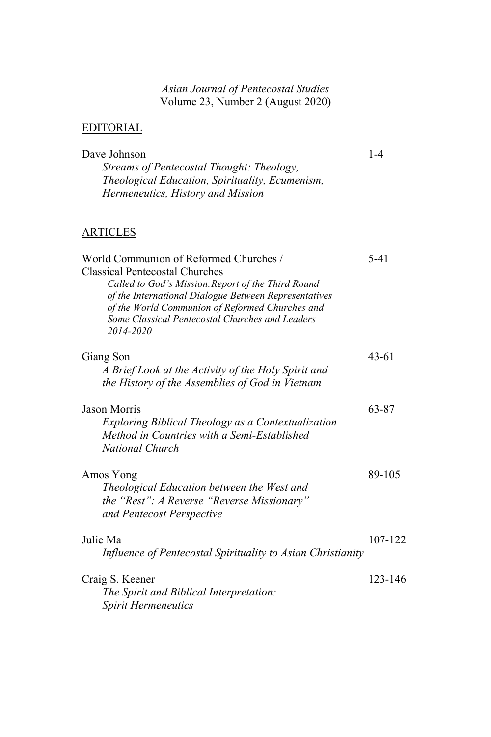## *Asian Journal of Pentecostal Studies*  Volume 23, Number 2 (August 2020)

## EDITORIAL

| Dave Johnson                                                                                       | $1 - 4$ |
|----------------------------------------------------------------------------------------------------|---------|
| Streams of Pentecostal Thought: Theology,                                                          |         |
| Theological Education, Spirituality, Ecumenism,                                                    |         |
| Hermeneutics, History and Mission                                                                  |         |
|                                                                                                    |         |
| ARTICLES                                                                                           |         |
| World Communion of Reformed Churches /                                                             | 5-41    |
| <b>Classical Pentecostal Churches</b>                                                              |         |
| Called to God's Mission: Report of the Third Round                                                 |         |
| of the International Dialogue Between Representatives                                              |         |
| of the World Communion of Reformed Churches and<br>Some Classical Pentecostal Churches and Leaders |         |
| 2014-2020                                                                                          |         |
|                                                                                                    |         |
| Giang Son                                                                                          | 43-61   |
| A Brief Look at the Activity of the Holy Spirit and                                                |         |
| the History of the Assemblies of God in Vietnam                                                    |         |
| Jason Morris                                                                                       | 63-87   |
| Exploring Biblical Theology as a Contextualization                                                 |         |
| Method in Countries with a Semi-Established                                                        |         |
| <b>National Church</b>                                                                             |         |
| Amos Yong                                                                                          | 89-105  |
| Theological Education between the West and                                                         |         |
| the "Rest": A Reverse "Reverse Missionary"                                                         |         |
| and Pentecost Perspective                                                                          |         |
| Julie Ma                                                                                           | 107-122 |
| Influence of Pentecostal Spirituality to Asian Christianity                                        |         |
| Craig S. Keener                                                                                    | 123-146 |
| The Spirit and Biblical Interpretation:                                                            |         |
| Spirit Hermeneutics                                                                                |         |
|                                                                                                    |         |